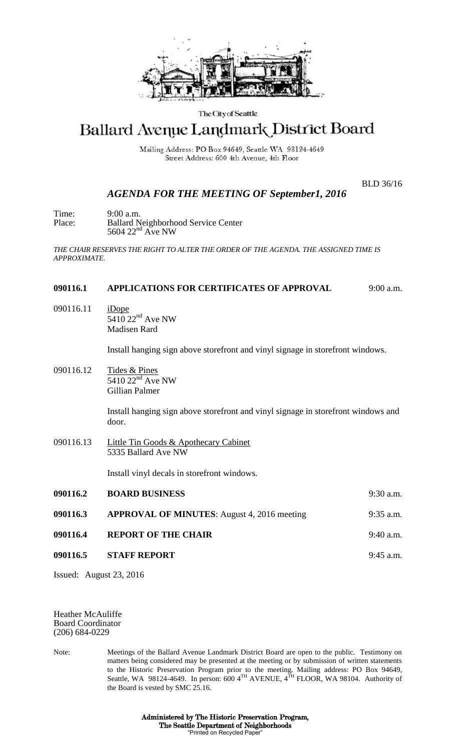

## The City of Seattle

# Ballard Avenue Landmark District Board

Mailing Address: PO Box 94649, Seattle WA 98124-4649 Street Address: 600 4th Avenue, 4th Floor

BLD 36/16

# *AGENDA FOR THE MEETING OF September1, 2016*

Time: 9:00 a.m. Place: Ballard Neighborhood Service Center  $5604$   $22<sup>nd</sup>$  Ave NW

*THE CHAIR RESERVES THE RIGHT TO ALTER THE ORDER OF THE AGENDA. THE ASSIGNED TIME IS APPROXIMATE.*

#### **090116.1 APPLICATIONS FOR CERTIFICATES OF APPROVAL** 9:00 a.m.

090116.11 iDope  $\overline{5410}$  22<sup>nd</sup> Ave NW Madisen Rard

Install hanging sign above storefront and vinyl signage in storefront windows.

090116.12 Tides & Pines  $5410$   $22<sup>nd</sup>$  Ave NW Gillian Palmer

> Install hanging sign above storefront and vinyl signage in storefront windows and door.

090116.13 Little Tin Goods & Apothecary Cabinet 5335 Ballard Ave NW

Install vinyl decals in storefront windows.

| 090116.2 | <b>BOARD BUSINESS</b>                              | $9:30$ a.m. |
|----------|----------------------------------------------------|-------------|
| 090116.3 | <b>APPROVAL OF MINUTES:</b> August 4, 2016 meeting | $9:35$ a.m. |
| 090116.4 | <b>REPORT OF THE CHAIR</b>                         | $9:40$ a.m. |
| 090116.5 | <b>STAFF REPORT</b>                                | $9:45$ a.m. |
|          |                                                    |             |

Issued: August 23, 2016

Heather McAuliffe Board Coordinator (206) 684-0229

Note: Meetings of the Ballard Avenue Landmark District Board are open to the public. Testimony on matters being considered may be presented at the meeting or by submission of written statements to the Historic Preservation Program prior to the meeting. Mailing address: PO Box 94649, Seattle, WA 98124-4649. In person: 600  $4^{TH}$  AVENUE,  $4^{TH}$  FLOOR, WA 98104. Authority of the Board is vested by SMC 25.16.